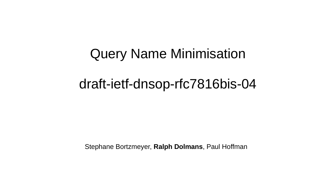# Query Name Minimisation

#### draft-ietf-dnsop-rfc7816bis-04

Stephane Bortzmeyer, **Ralph Dolmans**, Paul Hoffman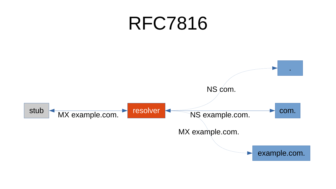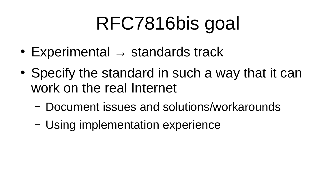#### RFC7816bis goal

- Experimental  $\rightarrow$  standards track
- Specify the standard in such a way that it can work on the real Internet
	- Document issues and solutions/workarounds
	- Using implementation experience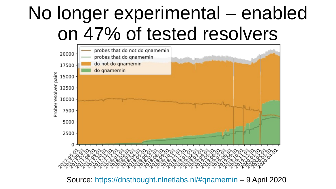#### No longer experimental – enabled on 47% of tested resolvers



Source: <https://dnsthought.nlnetlabs.nl/#qnamemin>– 9 April 2020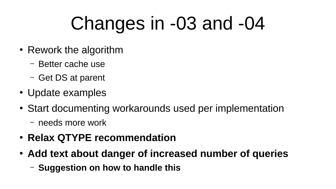#### Changes in -03 and -04

- Rework the algorithm
	- Better cache use
	- Get DS at parent
- Update examples
- Start documenting workarounds used per implementation
	- needs more work
- **Relax QTYPE recommendation**
- **Add text about danger of increased number of queries**
	- **Suggestion on how to handle this**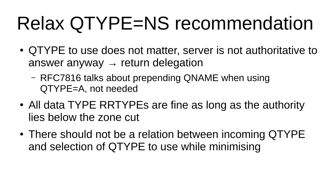## Relax QTYPE=NS recommendation

- QTYPE to use does not matter, server is not authoritative to answer anyway  $\rightarrow$  return delegation
	- RFC7816 talks about prepending QNAME when using QTYPE=A, not needed
- All data TYPE RRTYPEs are fine as long as the authority lies below the zone cut
- There should not be a relation between incoming QTYPE and selection of QTYPE to use while minimising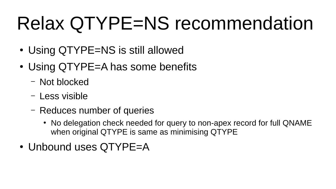## Relax QTYPE=NS recommendation

- Using QTYPE=NS is still allowed
- Using OTYPE=A has some benefits
	- Not blocked
	- Less visible
	- Reduces number of queries
		- No delegation check needed for query to non-apex record for full QNAME when original QTYPE is same as minimising QTYPE
- Unbound uses QTYPE=A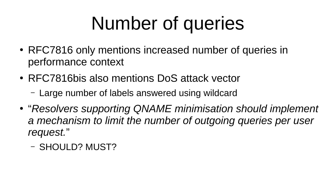### Number of queries

- RFC7816 only mentions increased number of queries in performance context
- RFC7816bis also mentions DoS attack vector
	- Large number of labels answered using wildcard
- "*Resolvers supporting QNAME minimisation should implement*  a mechanism to limit the number of outgoing queries per user *request.*"
	- SHOULD? MUST?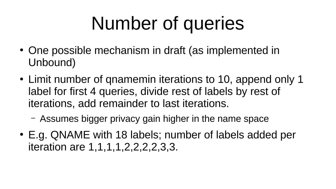#### Number of queries

- One possible mechanism in draft (as implemented in Unbound)
- Limit number of qnamemin iterations to 10, append only 1 label for first 4 queries, divide rest of labels by rest of iterations, add remainder to last iterations.
	- Assumes bigger privacy gain higher in the name space
- E.g. QNAME with 18 labels; number of labels added per iteration are 1,1,1,1,2,2,2,2,3,3.